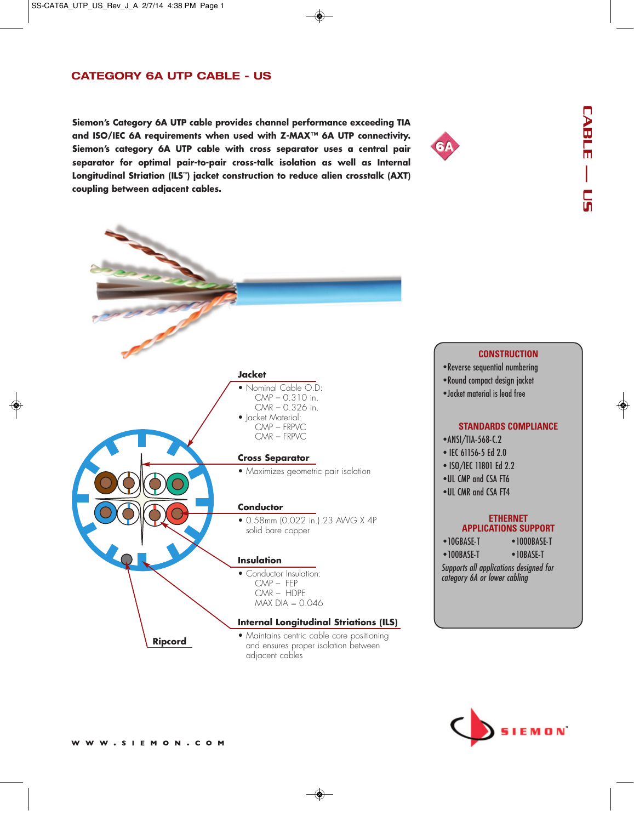## **CATEGORY 6A UTP CABLE - US**

**Siemon's Category 6A UTP cable provides channel performance exceeding TIA and ISO/IEC 6A requirements when used with Z-MAX™ 6A UTP connectivity. Siemon's category 6A UTP cable with cross separator uses a central pair separator for optimal pair-to-pair cross-talk isolation as well as Internal Longitudinal Striation (ILS™) jacket construction to reduce alien crosstalk (AXT) coupling between adjacent cables.** 





# **Insulation** • Conductor Insulation: CMP – FEP CMR – HDPE  $MAX DIA = 0.046$ **Conductor** • 0.58mm (0.022 in.) 23 AWG X 4P solid bare copper **Cross Separator** • Maximizes geometric pair isolation **Jacket** • Nominal Cable O.D: CMP – 0.310 in. CMR – 0.326 in. • Jacket Material: CMP – FRPVC CMR – FRPVC **Internal Longitudinal Striations (ILS)**  • Maintains centric cable core positioning and ensures proper isolation between adjacent cables **Ripcord**

#### **CONSTRUCTION**

- Reverse sequential numbering
- Round compact design jacket
- •Jacket material is lead free

#### **STANDARDS COMPLIANCE**

- ANSI/TIA-568-C.2
- IEC 61156-5 Ed 2.0
- ISO/IEC 11801 Ed 2.2
- UL CMP and CSA FT6
- UL CMR and CSA FT4

#### **ETHERNET APPLICATIONS SUPPORT**

| $\bullet$ 10GBASE-T | $\bullet$ 1000BASE-T |
|---------------------|----------------------|
| $\bullet$ 100RASE-T | $\bullet$ 10RASE-T   |

Supports all applications designed for category 6A or lower cabling